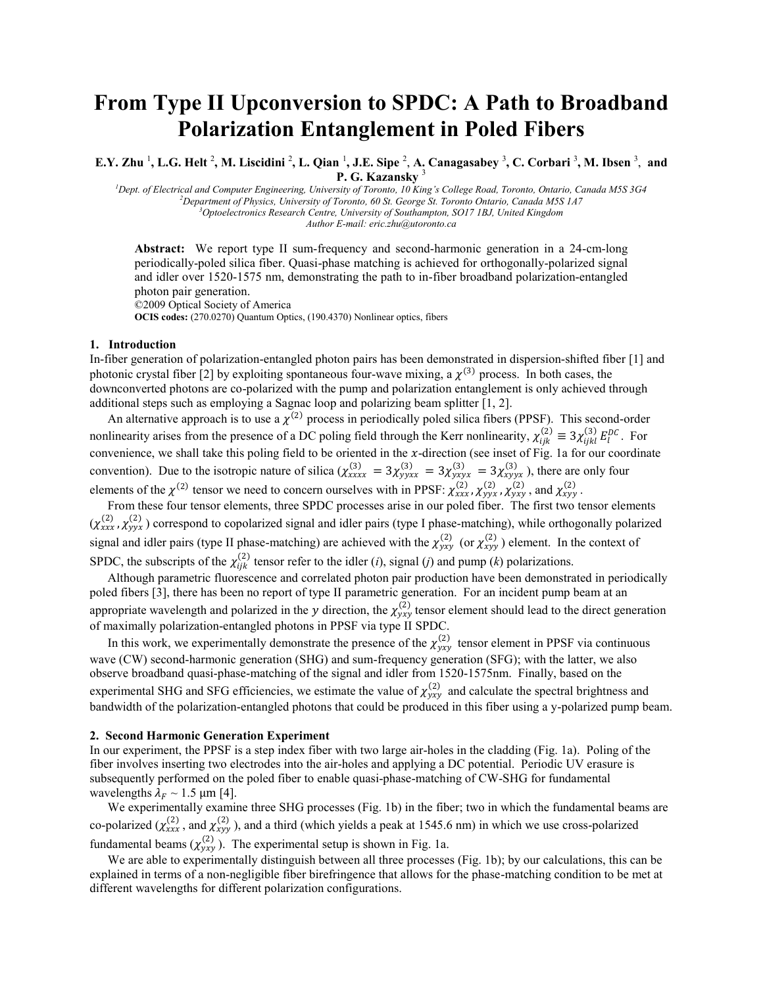# **From Type II Upconversion to SPDC: A Path to Broadband Polarization Entanglement in Poled Fibers**

E.Y. Zhu<sup>1</sup>, L.G. Helt<sup>2</sup>, M. Liscidini<sup>2</sup>, L. Qian<sup>1</sup>, J.E. Sipe<sup>2</sup>, A. Canagasabey<sup>3</sup>, C. Corbari<sup>3</sup>, M. Ibsen<sup>3</sup>, and **P. G. Kazansky** <sup>3</sup>

*Dept. of Electrical and Computer Engineering, University of Toronto, 10 King's College Road, Toronto, Ontario, Canada M5S 3G4 Department of Physics, University of Toronto, 60 St. George St. Toronto Ontario, Canada M5S 1A7 Optoelectronics Research Centre, University of Southampton, SO17 1BJ, United Kingdom Author E-mail: eric.zhu@utoronto.ca*

**Abstract:** We report type II sum-frequency and second-harmonic generation in a 24-cm-long periodically-poled silica fiber. Quasi-phase matching is achieved for orthogonally-polarized signal and idler over 1520-1575 nm, demonstrating the path to in-fiber broadband polarization-entangled photon pair generation.

©2009 Optical Society of America

**OCIS codes:** (270.0270) Quantum Optics, (190.4370) Nonlinear optics, fibers

# **1. Introduction**

In-fiber generation of polarization-entangled photon pairs has been demonstrated in dispersion-shifted fiber [1] and photonic crystal fiber [2] by exploiting spontaneous four-wave mixing, a  $\chi^{(3)}$  process. In both cases, the downconverted photons are co-polarized with the pump and polarization entanglement is only achieved through additional steps such as employing a Sagnac loop and polarizing beam splitter [1, 2].

An alternative approach is to use a  $\chi^{(2)}$  process in periodically poled silica fibers (PPSF). This second-order nonlinearity arises from the presence of a DC poling field through the Kerr nonlinearity,  $\chi_{ijk}^{(2)} \equiv 3\chi_{ijkl}^{(3)} E_l^{DC}$ . For convenience, we shall take this poling field to be oriented in the  $x$ -direction (see inset of Fig. 1a for our coordinate convention). Due to the isotropic nature of silica  $(\chi^{(3)}_{xxxx} = 3\chi^{(3)}_{yyxx} = 3\chi^{(3)}_{yxyx} = 3\chi^{(3)}_{xyyx}$ , there are only four elements of the  $\chi^{(2)}$  tensor we need to concern ourselves with in PPSF:  $\chi^{(2)}_{xxx}$ ,  $\chi^{(2)}_{yy}$ ,  $\chi^{(2)}_{yy}$ , and  $\chi^{(2)}_{xyy}$ .

From these four tensor elements, three SPDC processes arise in our poled fiber. The first two tensor elements  $(\chi^{(2)}_{xxx}, \chi^{(2)}_{yyx})$  correspond to copolarized signal and idler pairs (type I phase-matching), while orthogonally polarized signal and idler pairs (type II phase-matching) are achieved with the  $\chi_{yxy}^{(2)}$  (or  $\chi_{xyy}^{(2)}$ ) element. In the context of SPDC, the subscripts of the  $\chi^{(2)}_{ijk}$  tensor refer to the idler (*i*), signal (*j*) and pump (*k*) polarizations.

Although parametric fluorescence and correlated photon pair production have been demonstrated in periodically poled fibers [3], there has been no report of type II parametric generation. For an incident pump beam at an appropriate wavelength and polarized in the y direction, the  $\chi^{(2)}_{yxy}$  tensor element should lead to the direct generation of maximally polarization-entangled photons in PPSF via type II SPDC.

In this work, we experimentally demonstrate the presence of the  $\chi^{(2)}_{yxy}$  tensor element in PPSF via continuous wave (CW) second-harmonic generation (SHG) and sum-frequency generation (SFG); with the latter, we also observe broadband quasi-phase-matching of the signal and idler from 1520-1575nm. Finally, based on the experimental SHG and SFG efficiencies, we estimate the value of  $\chi^{(2)}_{yxy}$  and calculate the spectral brightness and bandwidth of the polarization-entangled photons that could be produced in this fiber using a y-polarized pump beam.

### **2. Second Harmonic Generation Experiment**

In our experiment, the PPSF is a step index fiber with two large air-holes in the cladding (Fig. 1a). Poling of the fiber involves inserting two electrodes into the air-holes and applying a DC potential. Periodic UV erasure is subsequently performed on the poled fiber to enable quasi-phase-matching of CW-SHG for fundamental wavelengths  $\lambda_F \sim 1.5$  µm [4].

We experimentally examine three SHG processes (Fig. 1b) in the fiber; two in which the fundamental beams are co-polarized ( $\chi^{(2)}_{xxx}$ , and  $\chi^{(2)}_{xyy}$ ), and a third (which yields a peak at 1545.6 nm) in which we use cross-polarized fundamental beams  $(\chi^{(2)}_{yxy})$ . The experimental setup is shown in Fig. 1a.

We are able to experimentally distinguish between all three processes (Fig. 1b); by our calculations, this can be explained in terms of a non-negligible fiber birefringence that allows for the phase-matching condition to be met at different wavelengths for different polarization configurations.